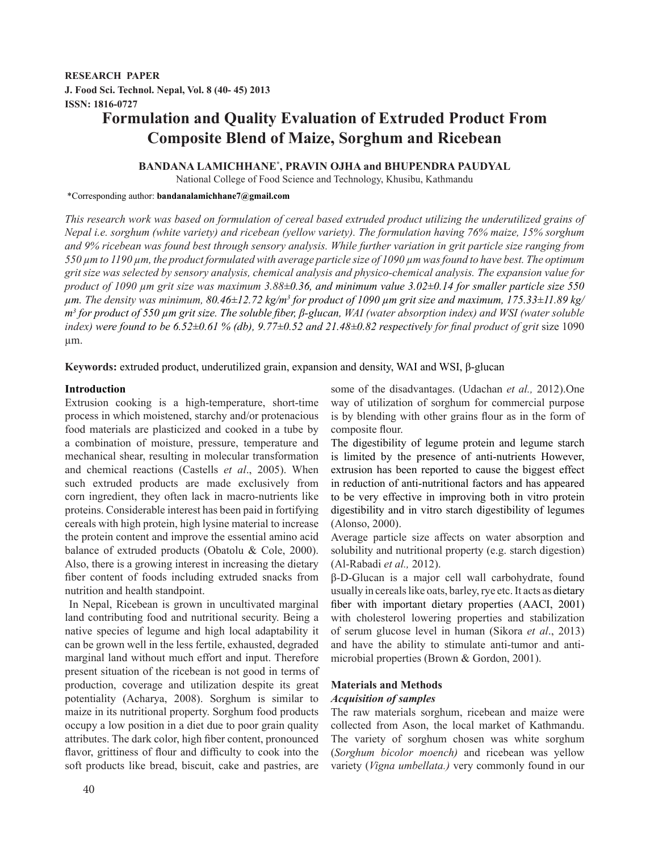**RESEARCH PAPER J. Food Sci. Technol. Nepal, Vol. 8 (40- 45) 2013 ISSN: 1816-0727**

# **Formulation and Quality Evaluation of Extruded Product From Composite Blend of Maize, Sorghum and Ricebean**

# **BANDANA LAMICHHANE\* , PRAVIN OJHA and BHUPENDRA PAUDYAL**

National College of Food Science and Technology, Khusibu, Kathmandu

#### \*Corresponding author: **bandanalamichhane7@gmail.com**

*This research work was based on formulation of cereal based extruded product utilizing the underutilized grains of Nepal i.e. sorghum (white variety) and ricebean (yellow variety). The formulation having 76% maize, 15% sorghum and 9% ricebean was found best through sensory analysis. While further variation in grit particle size ranging from 550 µm to 1190 µm, the product formulated with average particle size of 1090 µm was found to have best. The optimum grit size was selected by sensory analysis, chemical analysis and physico-chemical analysis. The expansion value for product of 1090 µm grit size was maximum 3.88±0.36, and minimum value 3.02±0.14 for smaller particle size 550 µm. The density was minimum, 80.46±12.72 kg/m3 for product of 1090 µm grit size and maximum, 175.33±11.89 kg/ m<sup>3</sup> for product of 550 µm grit size. The soluble fiber, β-glucan, WAI (water absorption index) and WSI (water soluble index)* were found to be 6.52 $\pm$ 0.61 % (db), 9.77 $\pm$ 0.52 and 21.48 $\pm$ 0.82 respectively for final product of grit size 1090 µm.

**Keywords:** extruded product, underutilized grain, expansion and density, WAI and WSI, β-glucan

### **Introduction**

Extrusion cooking is a high-temperature, short-time process in which moistened, starchy and/or protenacious food materials are plasticized and cooked in a tube by a combination of moisture, pressure, temperature and mechanical shear, resulting in molecular transformation and chemical reactions (Castells *et al*., 2005). When such extruded products are made exclusively from corn ingredient, they often lack in macro-nutrients like proteins. Considerable interest has been paid in fortifying cereals with high protein, high lysine material to increase the protein content and improve the essential amino acid balance of extruded products (Obatolu & Cole, 2000). Also, there is a growing interest in increasing the dietary fiber content of foods including extruded snacks from nutrition and health standpoint.

 In Nepal, Ricebean is grown in uncultivated marginal land contributing food and nutritional security. Being a native species of legume and high local adaptability it can be grown well in the less fertile, exhausted, degraded marginal land without much effort and input. Therefore present situation of the ricebean is not good in terms of production, coverage and utilization despite its great potentiality (Acharya, 2008). Sorghum is similar to maize in its nutritional property. Sorghum food products occupy a low position in a diet due to poor grain quality attributes. The dark color, high fiber content, pronounced flavor, grittiness of flour and difficulty to cook into the soft products like bread, biscuit, cake and pastries, are some of the disadvantages. (Udachan *et al.,* 2012).One way of utilization of sorghum for commercial purpose is by blending with other grains flour as in the form of composite flour.

The digestibility of legume protein and legume starch is limited by the presence of anti-nutrients However, extrusion has been reported to cause the biggest effect in reduction of anti-nutritional factors and has appeared to be very effective in improving both in vitro protein digestibility and in vitro starch digestibility of legumes (Alonso, 2000).

Average particle size affects on water absorption and solubility and nutritional property (e.g. starch digestion) (Al-Rabadi *et al.,* 2012).

β-D-Glucan is a major cell wall carbohydrate, found usually in cereals like oats, barley, rye etc. It acts as dietary fiber with important dietary properties (AACI, 2001) with cholesterol lowering properties and stabilization of serum glucose level in human (Sikora *et al*., 2013) and have the ability to stimulate anti-tumor and antimicrobial properties (Brown & Gordon, 2001).

# **Materials and Methods** *Acquisition of samples*

The raw materials sorghum, ricebean and maize were collected from Ason, the local market of Kathmandu. The variety of sorghum chosen was white sorghum (*Sorghum bicolor moench)* and ricebean was yellow variety (*Vigna umbellata.)* very commonly found in our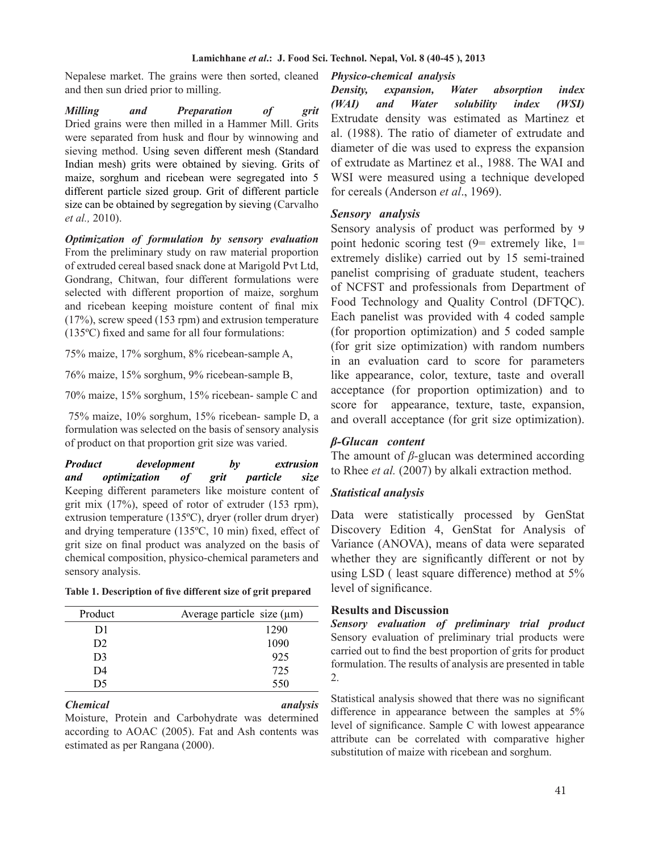### **Lamichhane** *et al***.: J. Food Sci. Technol. Nepal, Vol. 8 (40-45 ), 2013**

Nepalese market. The grains were then sorted, cleaned and then sun dried prior to milling.

*Milling and Preparation of grit* Dried grains were then milled in a Hammer Mill. Grits were separated from husk and flour by winnowing and sieving method. Using seven different mesh (Standard Indian mesh) grits were obtained by sieving. Grits of maize, sorghum and ricebean were segregated into 5 different particle sized group. Grit of different particle size can be obtained by segregation by sieving (Carvalho *et al.,* 2010).

*Optimization of formulation by sensory evaluation* From the preliminary study on raw material proportion of extruded cereal based snack done at Marigold Pvt Ltd, Gondrang, Chitwan, four different formulations were selected with different proportion of maize, sorghum and ricebean keeping moisture content of final mix (17%), screw speed (153 rpm) and extrusion temperature (135ºC) fixed and same for all four formulations:

75% maize, 17% sorghum, 8% ricebean-sample A,

76% maize, 15% sorghum, 9% ricebean-sample B,

70% maize, 15% sorghum, 15% ricebean- sample C and

 75% maize, 10% sorghum, 15% ricebean- sample D, a formulation was selected on the basis of sensory analysis of product on that proportion grit size was varied.

*Product development by extrusion and optimization of grit particle size* Keeping different parameters like moisture content of grit mix (17%), speed of rotor of extruder (153 rpm), extrusion temperature (135ºC), dryer (roller drum dryer) and drying temperature (135ºC, 10 min) fixed, effect of grit size on final product was analyzed on the basis of chemical composition, physico-chemical parameters and sensory analysis.

**Table 1. Description of five different size of grit prepared**

| Product        | Average particle size $(\mu m)$ |
|----------------|---------------------------------|
| D1             | 1290                            |
| D <sub>2</sub> | 1090                            |
| D <sub>3</sub> | 925                             |
| D4             | 725                             |
| D5             | 550                             |

### *Chemical analysis*

Moisture, Protein and Carbohydrate was determined according to AOAC (2005). Fat and Ash contents was estimated as per Rangana (2000).

### *Physico-chemical analysis .*

*Density, expansion, Water absorption index (WAI) and Water solubility index (WSI)* Extrudate density was estimated as Martinez et al. (1988). The ratio of diameter of extrudate and diameter of die was used to express the expansion of extrudate as Martinez et al., 1988. The WAI and WSI were measured using a technique developed for cereals (Anderson *et al*., 1969).

### *Sensory analysis .*

Sensory analysis of product was performed by 9 point hedonic scoring test  $(9=$  extremely like,  $1=$ extremely dislike) carried out by 15 semi-trained panelist comprising of graduate student, teachers of NCFST and professionals from Department of Food Technology and Quality Control (DFTQC). Each panelist was provided with 4 coded sample (for proportion optimization) and 5 coded sample (for grit size optimization) with random numbers in an evaluation card to score for parameters like appearance, color, texture, taste and overall acceptance (for proportion optimization) and to score for appearance, texture, taste, expansion, and overall acceptance (for grit size optimization).

# *β-Glucan content .*

The amount of *β-*glucan was determined according to Rhee *et al.* (2007) by alkali extraction method.

# *Statistical analysis*

Data were statistically processed by GenStat Discovery Edition 4, GenStat for Analysis of Variance (ANOVA), means of data were separated whether they are significantly different or not by using LSD ( least square difference) method at 5% level of significance.

### **Results and Discussion .**

*Sensory evaluation of preliminary trial product* Sensory evaluation of preliminary trial products were carried out to find the best proportion of grits for product formulation. The results of analysis are presented in table 2.

Statistical analysis showed that there was no significant difference in appearance between the samples at 5% level of significance. Sample C with lowest appearance attribute can be correlated with comparative higher substitution of maize with ricebean and sorghum.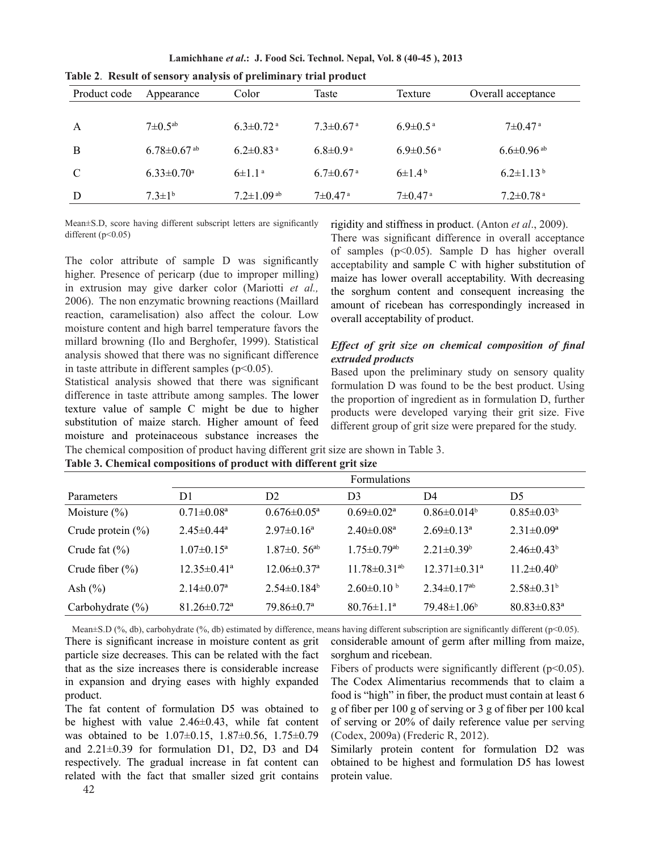**Lamichhane** *et al***.: J. Food Sci. Technol. Nepal, Vol. 8 (40-45 ), 2013**

| Product code | Appearance                    | Color                        | Taste                       | Texture                     | Overall acceptance           |  |
|--------------|-------------------------------|------------------------------|-----------------------------|-----------------------------|------------------------------|--|
|              |                               |                              |                             |                             |                              |  |
| A            | $7\pm 0.5$ <sup>ab</sup>      | $6.3 \pm 0.72$ <sup>a</sup>  | $7.3 \pm 0.67$ <sup>a</sup> | $6.9 \pm 0.5$ <sup>a</sup>  | $7\pm0.47$ a                 |  |
| B            | $6.78 \pm 0.67$ <sup>ab</sup> | $6.2 \pm 0.83$ <sup>a</sup>  | $6.8 \pm 0.9^{\text{a}}$    | $6.9 \pm 0.56$ <sup>a</sup> | $6.6 \pm 0.96$ <sup>ab</sup> |  |
| C            | $6.33 \pm 0.70$ <sup>a</sup>  | $6 \pm 1.1^{\text{a}}$       | $6.7 \pm 0.67$ <sup>a</sup> | $6\pm1.4^{\circ}$           | $6.2 \pm 1.13^b$             |  |
| D            | $7.3 \pm 1^{b}$               | $7.2 \pm 1.09$ <sup>ab</sup> | $7\pm 0.47$ <sup>a</sup>    | $7\pm 0.47$ <sup>a</sup>    | $7.2 \pm 0.78$ <sup>a</sup>  |  |

**Table 2**. **Result of sensory analysis of preliminary trial product**

Mean±S.D, score having different subscript letters are significantly different (p˂0.05)

The color attribute of sample D was significantly higher. Presence of pericarp (due to improper milling) in extrusion may give darker color (Mariotti *et al.,* 2006). The non enzymatic browning reactions (Maillard reaction, caramelisation) also affect the colour. Low moisture content and high barrel temperature favors the millard browning (Ilo and Berghofer, 1999). Statistical analysis showed that there was no significant difference in taste attribute in different samples (p˂0.05).

Statistical analysis showed that there was significant difference in taste attribute among samples. The lower texture value of sample C might be due to higher substitution of maize starch. Higher amount of feed moisture and proteinaceous substance increases the rigidity and stiffness in product. (Anton *et al*., 2009).

There was significant difference in overall acceptance of samples (p˂0.05). Sample D has higher overall acceptability and sample C with higher substitution of maize has lower overall acceptability. With decreasing the sorghum content and consequent increasing the amount of ricebean has correspondingly increased in overall acceptability of product.

# *Effect of grit size on chemical composition of final extruded products*

Based upon the preliminary study on sensory quality formulation D was found to be the best product. Using the proportion of ingredient as in formulation D, further products were developed varying their grit size. Five different group of grit size were prepared for the study.

The chemical composition of product having different grit size are shown in Table 3. **Table 3. Chemical compositions of product with different grit size**

|                       | Formulations                  |                               |                               |                                |                               |  |  |  |
|-----------------------|-------------------------------|-------------------------------|-------------------------------|--------------------------------|-------------------------------|--|--|--|
| Parameters            | D1                            | D <sub>2</sub>                | D3                            | D4                             | D5                            |  |  |  |
| Moisture $(\% )$      | $0.71 \pm 0.08^a$             | $0.676 \pm 0.05^{\mathrm{a}}$ | $0.69 \pm 0.02^a$             | $0.86 \pm 0.014^b$             | $0.85 \pm 0.03^b$             |  |  |  |
| Crude protein $(\% )$ | $2.45 \pm 0.44^a$             | $2.97 \pm 0.16^a$             | $2.40 \pm 0.08$ <sup>a</sup>  | $2.69 \pm 0.13^a$              | $2.31 \pm 0.09^a$             |  |  |  |
| Crude fat $(\% )$     | $1.07 \pm 0.15^a$             | $1.87 \pm 0.56$ <sup>ab</sup> | $1.75 \pm 0.79$ <sup>ab</sup> | $2.21 \pm 0.39^b$              | $2.46 \pm 0.43^b$             |  |  |  |
| Crude fiber $(\% )$   | $12.35 \pm 0.41$ <sup>a</sup> | $12.06 \pm 0.37$ <sup>a</sup> | $11.78 \pm 0.31^{ab}$         | $12.371 \pm 0.31$ <sup>a</sup> | $11.2 \pm 0.40^b$             |  |  |  |
| Ash $(\% )$           | $2.14 \pm 0.07^{\rm a}$       | $2.54\pm0.184^b$              | $2.60\pm0.10^{b}$             | $2.34 \pm 0.17^{ab}$           | $2.58 \pm 0.31^b$             |  |  |  |
| Carbohydrate $(\% )$  | $81.26 \pm 0.72$ <sup>a</sup> | $79.86 \pm 0.7^{\mathrm{a}}$  | $80.76 \pm 1.1^a$             | $79.48 \pm 1.06^b$             | $80.83 \pm 0.83$ <sup>a</sup> |  |  |  |

There is significant increase in moisture content as grit particle size decreases. This can be related with the fact that as the size increases there is considerable increase in expansion and drying eases with highly expanded product.

The fat content of formulation D5 was obtained to be highest with value 2.46±0.43, while fat content was obtained to be 1.07±0.15, 1.87±0.56, 1.75±0.79 and  $2.21\pm0.39$  for formulation D1, D2, D3 and D4 respectively. The gradual increase in fat content can related with the fact that smaller sized grit contains

considerable amount of germ after milling from maize, sorghum and ricebean. Mean $\pm$ S.D (%, db), carbohydrate (%, db) estimated by difference, means having different subscription are significantly different (p<0.05).

> Fibers of products were significantly different  $(p<0.05)$ . The Codex Alimentarius recommends that to claim a food is "high" in fiber, the product must contain at least 6 g of fiber per 100 g of serving or 3 g of fiber per 100 kcal of serving or 20% of daily reference value per serving (Codex, 2009a) (Frederic R, 2012).

> Similarly protein content for formulation D2 was obtained to be highest and formulation D5 has lowest protein value.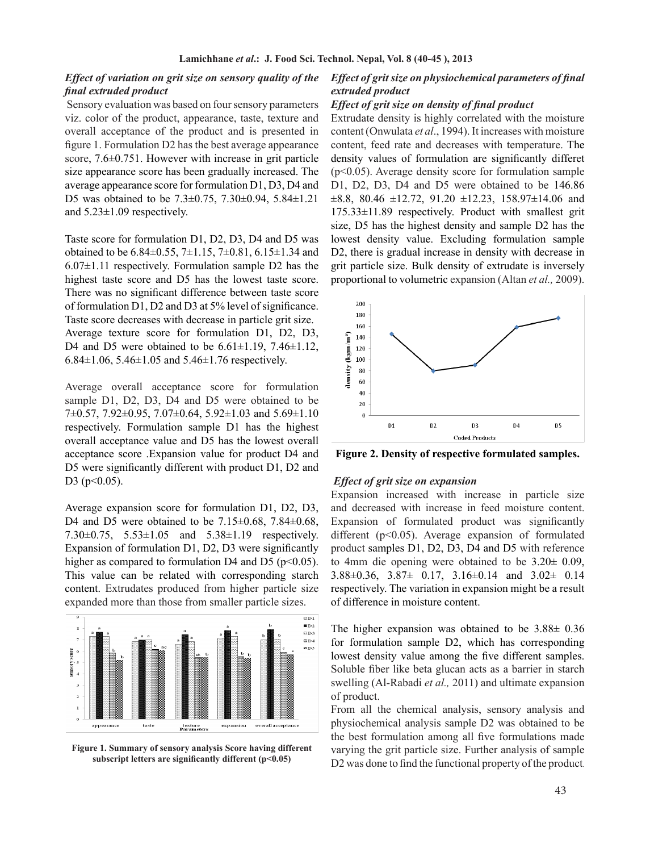# *Effect of variation on grit size on sensory quality of the final extruded product*

 Sensory evaluation was based on four sensory parameters viz. color of the product, appearance, taste, texture and overall acceptance of the product and is presented in figure 1. Formulation D2 has the best average appearance score, 7.6 $\pm$ 0.751. However with increase in grit particle size appearance score has been gradually increased. The average appearance score for formulation D1, D3, D4 and D5 was obtained to be 7.3±0.75, 7.30±0.94, 5.84±1.21 and 5.23±1.09 respectively.

Taste score for formulation D1, D2, D3, D4 and D5 was obtained to be 6.84 $\pm$ 0.55, 7 $\pm$ 1.15, 7 $\pm$ 0.81, 6.15 $\pm$ 1.34 and  $6.07\pm1.11$  respectively. Formulation sample D2 has the highest taste score and D5 has the lowest taste score. There was no significant difference between taste score of formulation D1, D2 and D3 at 5% level of significance. Taste score decreases with decrease in particle grit size. Average texture score for formulation D1, D2, D3, D4 and D5 were obtained to be  $6.61 \pm 1.19$ ,  $7.46 \pm 1.12$ , 6.84 $\pm$ 1.06, 5.46 $\pm$ 1.05 and 5.46 $\pm$ 1.76 respectively.

Average overall acceptance score for formulation sample D1, D2, D3, D4 and D5 were obtained to be 7±0.57, 7.92±0.95, 7.07±0.64, 5.92±1.03 and 5.69±1.10 respectively. Formulation sample D1 has the highest overall acceptance value and D5 has the lowest overall acceptance score .Expansion value for product D4 and D5 were significantly different with product D1, D2 and D3 ( $p<0.05$ ).

Average expansion score for formulation D1, D2, D3, D4 and D5 were obtained to be  $7.15\pm0.68$ ,  $7.84\pm0.68$ , 7.30±0.75, 5.53±1.05 and 5.38±1.19 respectively. Expansion of formulation D1, D2, D3 were significantly higher as compared to formulation D4 and D5 ( $p<0.05$ ). This value can be related with corresponding starch content. Extrudates produced from higher particle size expanded more than those from smaller particle sizes.



**Figure 1. Summary of sensory analysis Score having different subscript letters are significantly different (p<0.05)**

# *Effect of grit size on physiochemical parameters of final extruded product*

#### *Effect of grit size on density of final product*

Extrudate density is highly correlated with the moisture content (Onwulata *et al*., 1994). It increases with moisture content, feed rate and decreases with temperature. The density values of formulation are significantly differet (p<0.05). Average density score for formulation sample D1, D2, D3, D4 and D5 were obtained to be 146.86  $\pm 8.8$ , 80.46  $\pm 12.72$ , 91.20  $\pm 12.23$ , 158.97 $\pm 14.06$  and 175.33±11.89 respectively. Product with smallest grit size, D5 has the highest density and sample D2 has the lowest density value. Excluding formulation sample D2, there is gradual increase in density with decrease in grit particle size. Bulk density of extrudate is inversely proportional to volumetric expansion (Altan *et al.,* 2009).



**Figure 2. Density of respective formulated samples.**

### *Effect of grit size on expansion*

Expansion increased with increase in particle size and decreased with increase in feed moisture content. Expansion of formulated product was significantly different (p˂0.05). Average expansion of formulated product samples D1, D2, D3, D4 and D5 with reference to 4mm die opening were obtained to be 3.20± 0.09, 3.88±0.36, 3.87± 0.17, 3.16±0.14 and 3.02± 0.14 respectively. The variation in expansion might be a result of difference in moisture content.

The higher expansion was obtained to be 3.88± 0.36 for formulation sample D2, which has corresponding lowest density value among the five different samples. Soluble fiber like beta glucan acts as a barrier in starch swelling (Al-Rabadi *et al.,* 2011) and ultimate expansion of product.

From all the chemical analysis, sensory analysis and physiochemical analysis sample D2 was obtained to be the best formulation among all five formulations made varying the grit particle size. Further analysis of sample D2 was done to find the functional property of the product.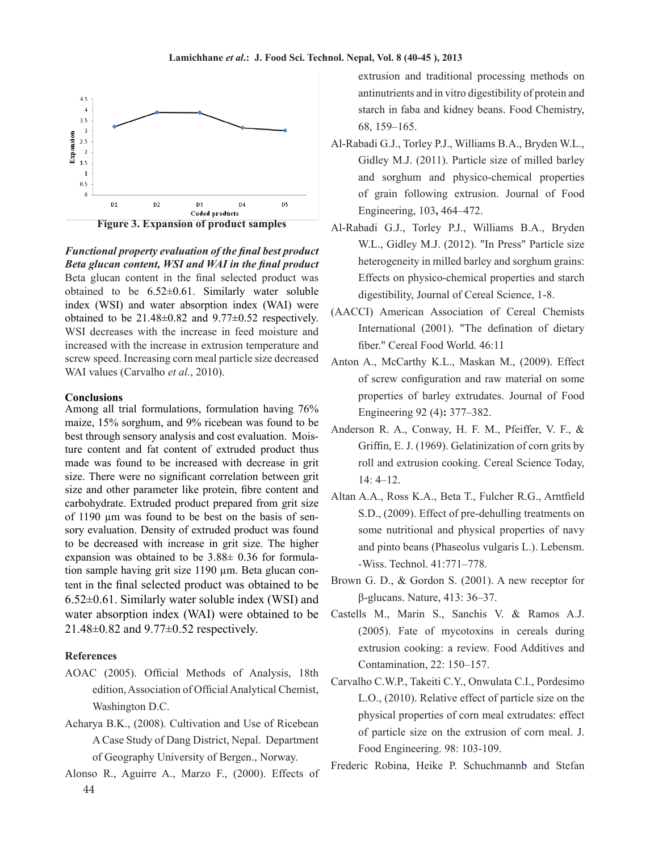

**Figure 3. Expansion of product samples**

*Functional property evaluation of the final best product Beta glucan content, WSI and WAI in the final product* Beta glucan content in the final selected product was obtained to be  $6.52\pm0.61$ . Similarly water soluble index (WSI) and water absorption index (WAI) were obtained to be  $21.48\pm0.82$  and  $9.77\pm0.52$  respectively. WSI decreases with the increase in feed moisture and increased with the increase in extrusion temperature and screw speed. Increasing corn meal particle size decreased WAI values (Carvalho *et al.*, 2010).

#### **Conclusions**

Among all trial formulations, formulation having 76% maize, 15% sorghum, and 9% ricebean was found to be best through sensory analysis and cost evaluation. Moisture content and fat content of extruded product thus made was found to be increased with decrease in grit size. There were no significant correlation between grit size and other parameter like protein, fibre content and carbohydrate. Extruded product prepared from grit size of 1190 µm was found to be best on the basis of sensory evaluation. Density of extruded product was found to be decreased with increase in grit size. The higher expansion was obtained to be 3.88± 0.36 for formulation sample having grit size 1190 µm. Beta glucan content in the final selected product was obtained to be  $6.52\pm0.61$ . Similarly water soluble index (WSI) and water absorption index (WAI) were obtained to be 21.48±0.82 and 9.77±0.52 respectively.

# **References**

- AOAC (2005). Official Methods of Analysis, 18th edition, Association of Official Analytical Chemist, Washington D.C.
- Acharya B.K., (2008). Cultivation and Use of Ricebean A Case Study of Dang District, Nepal. Department of Geography University of Bergen., Norway.
- 44 Alonso R., Aguirre A., Marzo F., (2000). Effects of

extrusion and traditional processing methods on antinutrients and in vitro digestibility of protein and starch in faba and kidney beans. Food Chemistry, 68, 159–165.

- Al-Rabadi G.J., Torley P.J., Williams B.A., Bryden W.L., Gidley M.J. (2011). Particle size of milled barley and sorghum and physico-chemical properties of grain following extrusion. Journal of Food Engineering, 103**,** 464–472.
- Al-Rabadi G.J., Torley P.J., Williams B.A., Bryden W.L., Gidley M.J. (2012). "In Press" Particle size heterogeneity in milled barley and sorghum grains: Effects on physico-chemical properties and starch digestibility, Journal of Cereal Science, 1-8.
- (AACCI) American Association of Cereal Chemists International (2001). "The defination of dietary fiber." Cereal Food World. 46:11
- Anton A., McCarthy K.L., Maskan M., (2009). Effect of screw configuration and raw material on some properties of barley extrudates. Journal of Food Engineering 92 (4)**:** 377–382.
- Anderson R. A., Conway, H. F. M., Pfeiffer, V. F., & Griffin, E. J. (1969). Gelatinization of corn grits by roll and extrusion cooking. Cereal Science Today, 14: 4–12.
- Altan A.A., Ross K.A., Beta T., Fulcher R.G., Arntfield S.D., (2009). Effect of pre-dehulling treatments on some nutritional and physical properties of navy and pinto beans (Phaseolus vulgaris L.). Lebensm. -Wiss. Technol. 41:771–778.
- Brown G. D., & Gordon S. (2001). A new receptor for β-glucans. Nature, 413: 36–37.
- Castells M., Marin S., Sanchis V. & Ramos A.J. (2005). Fate of mycotoxins in cereals during extrusion cooking: a review. Food Additives and Contamination, 22: 150–157.
- Carvalho C.W.P., Takeiti C.Y., Onwulata C.I., Pordesimo L.O., (2010). Relative effect of particle size on the physical properties of corn meal extrudates: effect of particle size on the extrusion of corn meal. J. Food Engineering. 98: 103-109.

Frederic Robina, Heike P. Schuchmannb and Stefan